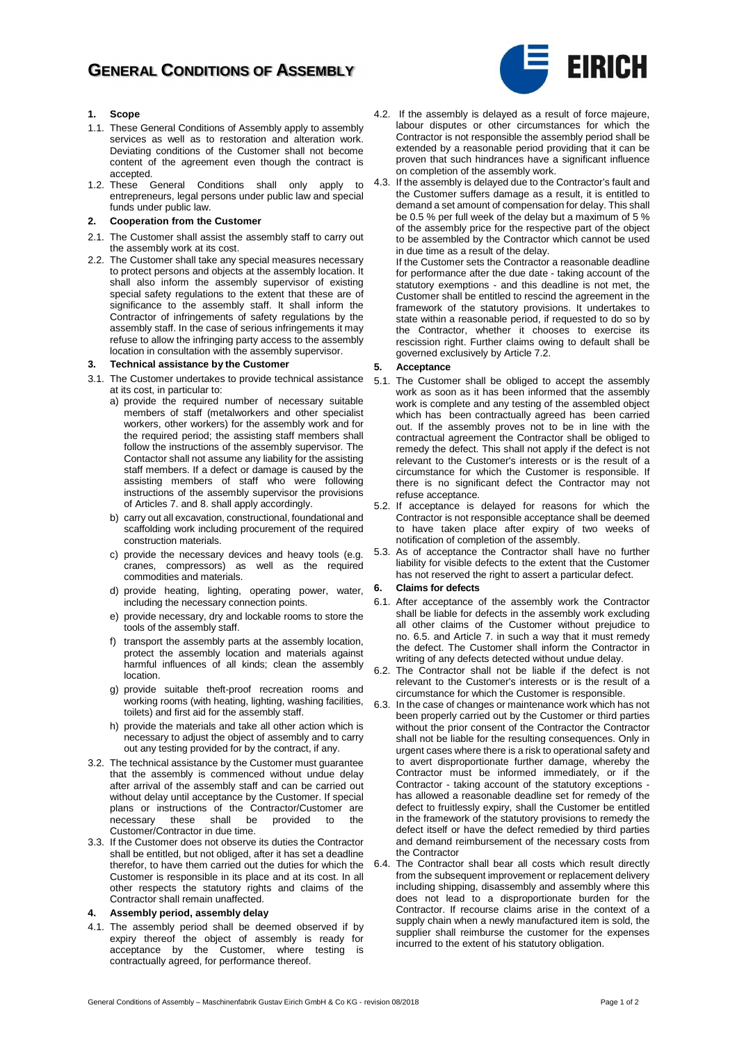## **GENERAL CONDITIONS OF ASSEMBLY**



#### **1. Scope**

- 1.1. These General Conditions of Assembly apply to assembly services as well as to restoration and alteration work. Deviating conditions of the Customer shall not become content of the agreement even though the contract is accepted.
- 1.2. These General Conditions shall only apply to entrepreneurs, legal persons under public law and special funds under public law.

#### **2. Cooperation from the Customer**

- 2.1. The Customer shall assist the assembly staff to carry out the assembly work at its cost.
- 2.2. The Customer shall take any special measures necessary to protect persons and objects at the assembly location. It shall also inform the assembly supervisor of existing special safety regulations to the extent that these are of significance to the assembly staff. It shall inform the Contractor of infringements of safety regulations by the assembly staff. In the case of serious infringements it may refuse to allow the infringing party access to the assembly location in consultation with the assembly supervisor.

#### **3. Technical assistance by the Customer**

- 3.1. The Customer undertakes to provide technical assistance at its cost, in particular to:
	- a) provide the required number of necessary suitable members of staff (metalworkers and other specialist workers, other workers) for the assembly work and for the required period; the assisting staff members shall follow the instructions of the assembly supervisor. The Contactor shall not assume any liability for the assisting staff members. If a defect or damage is caused by the assisting members of staff who were following instructions of the assembly supervisor the provisions of Articles 7. and 8. shall apply accordingly.
	- b) carry out all excavation, constructional, foundational and scaffolding work including procurement of the required construction materials.
	- c) provide the necessary devices and heavy tools (e.g. cranes, compressors) as well as the required commodities and materials.
	- d) provide heating, lighting, operating power, water, including the necessary connection points.
	- e) provide necessary, dry and lockable rooms to store the tools of the assembly staff.
	- f) transport the assembly parts at the assembly location, protect the assembly location and materials against harmful influences of all kinds; clean the assembly location.
	- g) provide suitable theft-proof recreation rooms and .<br>working rooms (with heating, lighting, washing facilities, toilets) and first aid for the assembly staff.
	- h) provide the materials and take all other action which is necessary to adjust the object of assembly and to carry out any testing provided for by the contract, if any.
- 3.2. The technical assistance by the Customer must guarantee that the assembly is commenced without undue delay after arrival of the assembly staff and can be carried out without delay until acceptance by the Customer. If special plans or instructions of the Contractor/Customer are<br>necessary these shall be provided to the these shall be Customer/Contractor in due time.
- 3.3. If the Customer does not observe its duties the Contractor shall be entitled, but not obliged, after it has set a deadline therefor, to have them carried out the duties for which the Customer is responsible in its place and at its cost. In all other respects the statutory rights and claims of the Contractor shall remain unaffected.

#### **4. Assembly period, assembly delay**

4.1. The assembly period shall be deemed observed if by expiry thereof the object of assembly is ready for acceptance by the Customer, where testing is contractually agreed, for performance thereof.

- 4.2. If the assembly is delayed as a result of force majeure, labour disputes or other circumstances for which the Contractor is not responsible the assembly period shall be extended by a reasonable period providing that it can be proven that such hindrances have a significant influence on completion of the assembly work.
- 4.3. If the assembly is delayed due to the Contractor's fault and the Customer suffers damage as a result, it is entitled to demand a set amount of compensation for delay. This shall be 0.5 % per full week of the delay but a maximum of 5 % of the assembly price for the respective part of the object to be assembled by the Contractor which cannot be used in due time as a result of the delay.

If the Customer sets the Contractor a reasonable deadline for performance after the due date - taking account of the statutory exemptions - and this deadline is not met, the Customer shall be entitled to rescind the agreement in the framework of the statutory provisions. It undertakes to state within a reasonable period, if requested to do so by the Contractor, whether it chooses to exercise its rescission right. Further claims owing to default shall be governed exclusively by Article 7.2.

#### **5. Acceptance**

- 5.1. The Customer shall be obliged to accept the assembly work as soon as it has been informed that the assembly work is complete and any testing of the assembled object which has been contractually agreed has been carried out. If the assembly proves not to be in line with the contractual agreement the Contractor shall be obliged to remedy the defect. This shall not apply if the defect is not relevant to the Customer's interests or is the result of a circumstance for which the Customer is responsible. If there is no significant defect the Contractor may not refuse acceptance.
- 5.2. If acceptance is delayed for reasons for which the Contractor is not responsible acceptance shall be deemed to have taken place after expiry of two weeks of notification of completion of the assembly.
- 5.3. As of acceptance the Contractor shall have no further liability for visible defects to the extent that the Customer has not reserved the right to assert a particular defect.

#### **6. Claims for defects**

- 6.1. After acceptance of the assembly work the Contractor shall be liable for defects in the assembly work excluding all other claims of the Customer without prejudice to no. 6.5. and Article 7. in such a way that it must remedy the defect. The Customer shall inform the Contractor in writing of any defects detected without undue delay.
- 6.2. The Contractor shall not be liable if the defect is not relevant to the Customer's interests or is the result of a circumstance for which the Customer is responsible.
- 6.3. In the case of changes or maintenance work which has not been properly carried out by the Customer or third parties without the prior consent of the Contractor the Contractor shall not be liable for the resulting consequences. Only in urgent cases where there is a risk to operational safety and to avert disproportionate further damage, whereby the Contractor must be informed immediately, or if the Contractor - taking account of the statutory exceptions has allowed a reasonable deadline set for remedy of the defect to fruitlessly expiry, shall the Customer be entitled in the framework of the statutory provisions to remedy the defect itself or have the defect remedied by third parties and demand reimbursement of the necessary costs from the Contractor
- 6.4. The Contractor shall bear all costs which result directly from the subsequent improvement or replacement delivery including shipping, disassembly and assembly where this does not lead to a disproportionate burden for the Contractor. If recourse claims arise in the context of a supply chain when a newly manufactured item is sold, the supplier shall reimburse the customer for the expenses incurred to the extent of his statutory obligation.